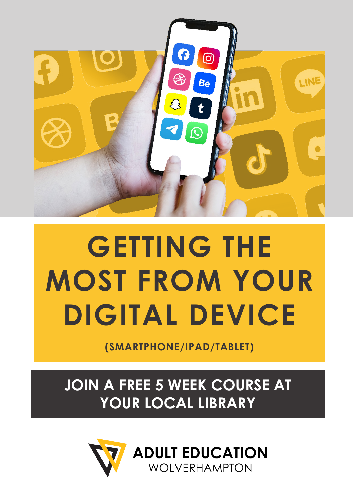

## **GETTING THE MOST FROM YOUR DIGITAL DEVICE**

**(SMARTPHONE/IPAD/TABLET)**

**JOIN A FREE 5 WEEK COURSE AT YOUR LOCAL LIBRARY**